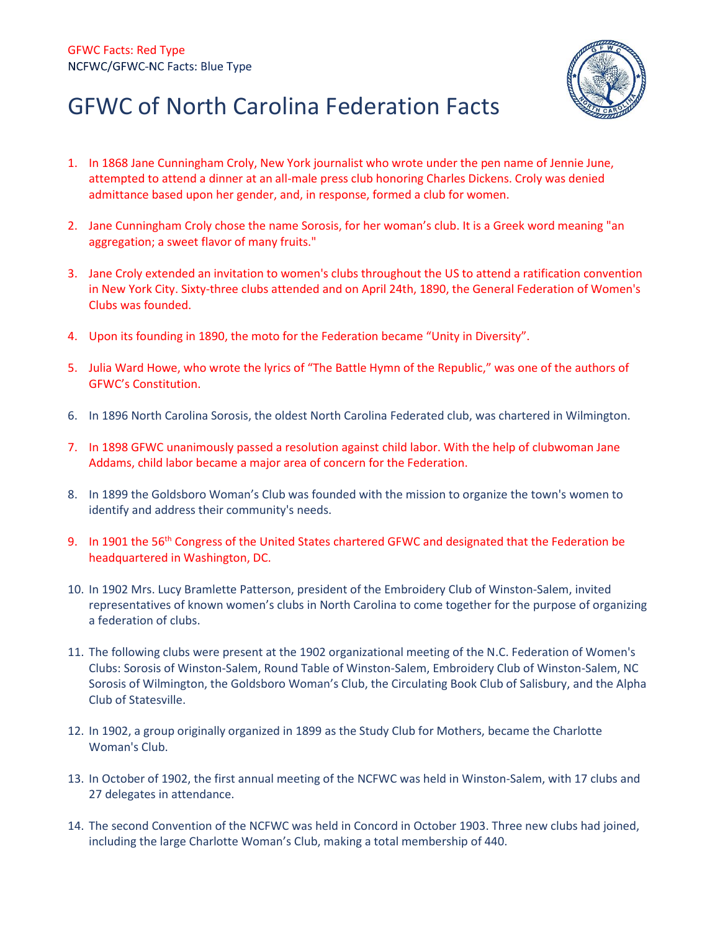

## GFWC of North Carolina Federation Facts

- 1. In 186[8 Jane Cunningham Croly,](http://www.gfwc.org/gfwc/Jane_Cunningham_Croly.asp?SnID=985688236) New York journalist who wrote under the pen name of Jennie June, attempted to attend a dinner at an all-male press club honoring Charles Dickens. Croly was denied admittance based upon her gender, and, in response, formed a club for women.
- 2. Jane Cunningham Croly chose the name Sorosis, for her woman's club. It is a Greek word meaning "an aggregation; a sweet flavor of many fruits."
- 3. Jane Croly extended an invitation to women's clubs throughout the US to attend a ratification convention in New York City. Sixty-three clubs attended and on April 24th, 1890, the General Federation of Women's Clubs was founded.
- 4. Upon its founding in 1890, the moto for the Federation became "Unity in Diversity".
- 5. Julia Ward Howe, who wrote the lyrics of "The Battle Hymn of the Republic," was one of the authors of GFWC's Constitution.
- 6. In 1896 North Carolina Sorosis, the oldest North Carolina Federated club, was chartered in Wilmington.
- 7. In 1898 GFWC unanimously passed a resolution against child labor. With the help of clubwoman Jane Addams, child labor became a major area of concern for the Federation.
- 8. In 1899 the Goldsboro Woman's Club was founded with the mission to organize the town's women to identify and address their community's needs.
- 9. In 1901 the 56<sup>th</sup> Congress of the United States chartered GFWC and designated that the Federation be headquartered in Washington, DC.
- 10. In 1902 Mrs. Lucy Bramlette Patterson, president of the Embroidery Club of Winston-Salem, invited representatives of known women's clubs in North Carolina to come together for the purpose of organizing a federation of clubs.
- 11. The following clubs were present at the 1902 organizational meeting of the N.C. Federation of Women's Clubs: Sorosis of Winston-Salem, Round Table of Winston-Salem, Embroidery Club of Winston-Salem, NC Sorosis of Wilmington, the Goldsboro Woman's Club, the Circulating Book Club of Salisbury, and the Alpha Club of Statesville.
- 12. In 1902, a group originally organized in 1899 as the Study Club for Mothers, became the Charlotte Woman's Club.
- 13. In October of 1902, the first annual meeting of the NCFWC was held in Winston-Salem, with 17 clubs and 27 delegates in attendance.
- 14. The second Convention of the NCFWC was held in Concord in October 1903. Three new clubs had joined, including the large Charlotte Woman's Club, making a total membership of 440.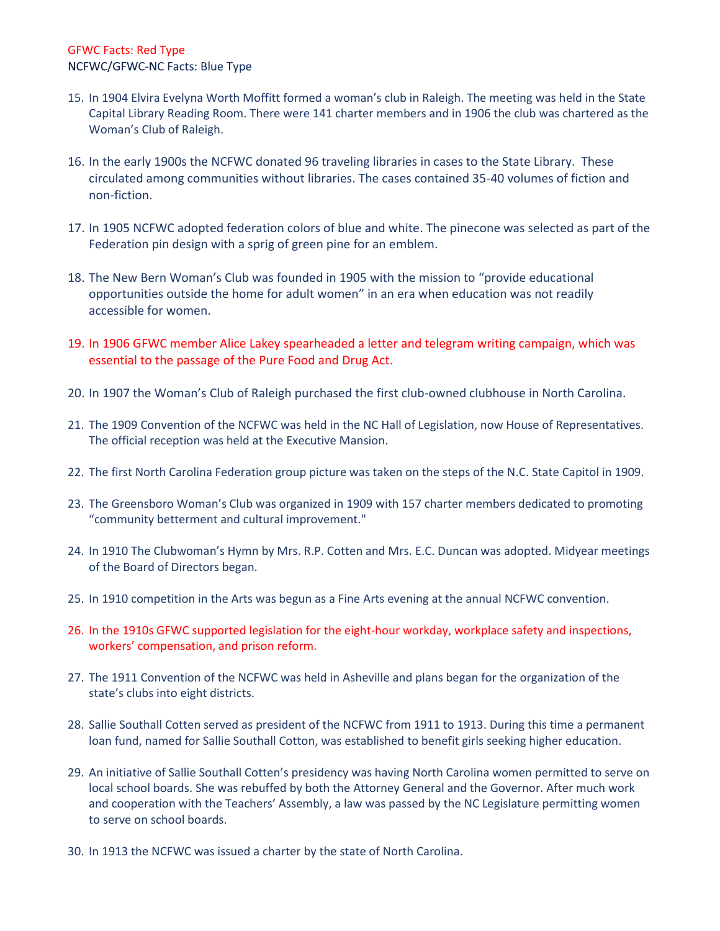- 15. In 1904 Elvira Evelyna Worth Moffitt formed a woman's club in Raleigh. The meeting was held in the State Capital Library Reading Room. There were 141 charter members and in 1906 the club was chartered as the Woman's Club of Raleigh.
- 16. In the early 1900s the NCFWC donated 96 traveling libraries in cases to the State Library. These circulated among communities without libraries. The cases contained 35-40 volumes of fiction and non-fiction.
- 17. In 1905 NCFWC adopted federation colors of blue and white. The pinecone was selected as part of the Federation pin design with a sprig of green pine for an emblem.
- 18. The New Bern Woman's Club was founded in 1905 with the mission to "provide educational opportunities outside the home for adult women" in an era when education was not readily accessible for women.
- 19. In 1906 GFWC member Alice Lakey spearheaded a letter and telegram writing campaign, which was essential to the passage of the Pure Food and Drug Act.
- 20. In 1907 the Woman's Club of Raleigh purchased the first club-owned clubhouse in North Carolina.
- 21. The 1909 Convention of the NCFWC was held in the NC Hall of Legislation, now House of Representatives. The official reception was held at the Executive Mansion.
- 22. The first North Carolina Federation group picture was taken on the steps of the N.C. State Capitol in 1909.
- 23. The Greensboro Woman's Club was organized in 1909 with 157 charter members dedicated to promoting "community betterment and cultural improvement."
- 24. In 1910 The Clubwoman's Hymn by Mrs. R.P. Cotten and Mrs. E.C. Duncan was adopted. Midyear meetings of the Board of Directors began.
- 25. In 1910 competition in the Arts was begun as a Fine Arts evening at the annual NCFWC convention.
- 26. In the 1910s GFWC supported legislation for the eight-hour workday, workplace safety and inspections, workers' compensation, and prison reform.
- 27. The 1911 Convention of the NCFWC was held in Asheville and plans began for the organization of the state's clubs into eight districts.
- 28. Sallie Southall Cotten served as president of the NCFWC from 1911 to 1913. During this time a permanent loan fund, named for Sallie Southall Cotton, was established to benefit girls seeking higher education.
- 29. An initiative of Sallie Southall Cotten's presidency was having North Carolina women permitted to serve on local school boards. She was rebuffed by both the Attorney General and the Governor. After much work and cooperation with the Teachers' Assembly, a law was passed by the NC Legislature permitting women to serve on school boards.
- 30. In 1913 the NCFWC was issued a charter by the state of North Carolina.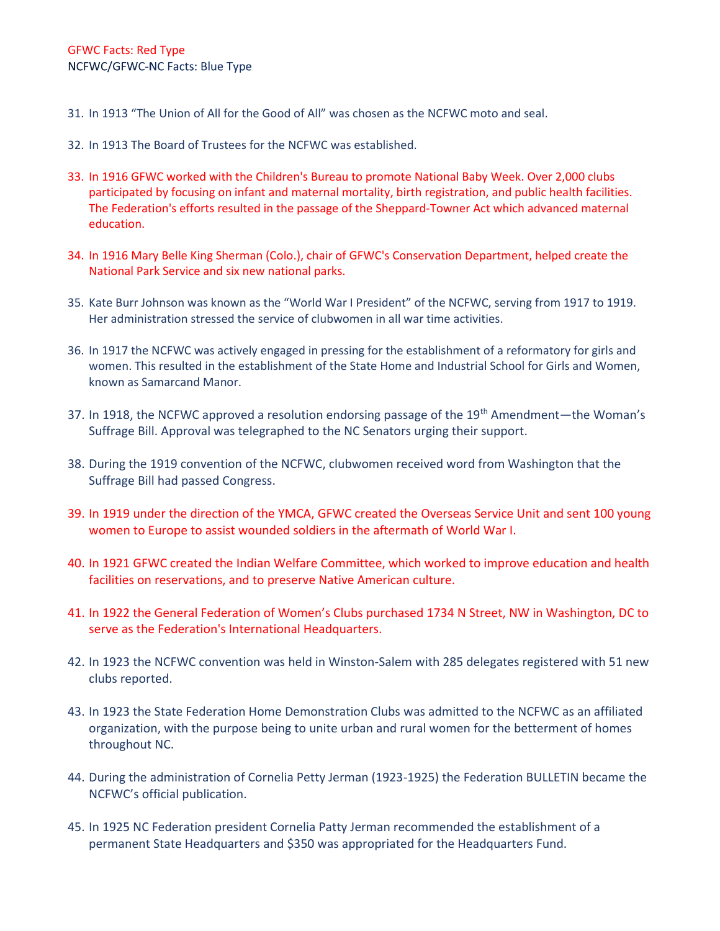- 31. In 1913 "The Union of All for the Good of All" was chosen as the NCFWC moto and seal.
- 32. In 1913 The Board of Trustees for the NCFWC was established.
- 33. In 1916 GFWC worked with the Children's Bureau to promote National Baby Week. Over 2,000 clubs participated by focusing on infant and maternal mortality, birth registration, and public health facilities. The Federation's efforts resulted in the passage of the Sheppard-Towner Act which advanced maternal education.
- 34. In 1916 Mary Belle King Sherman (Colo.), chair of GFWC's Conservation Department, helped create the National Park Service and six new national parks.
- 35. Kate Burr Johnson was known as the "World War I President" of the NCFWC, serving from 1917 to 1919. Her administration stressed the service of clubwomen in all war time activities.
- 36. In 1917 the NCFWC was actively engaged in pressing for the establishment of a reformatory for girls and women. This resulted in the establishment of the State Home and Industrial School for Girls and Women, known as Samarcand Manor.
- 37. In 1918, the NCFWC approved a resolution endorsing passage of the 19<sup>th</sup> Amendment—the Woman's Suffrage Bill. Approval was telegraphed to the NC Senators urging their support.
- 38. During the 1919 convention of the NCFWC, clubwomen received word from Washington that the Suffrage Bill had passed Congress.
- 39. In 1919 under the direction of the YMCA, GFWC created the Overseas Service Unit and sent 100 young women to Europe to assist wounded soldiers in the aftermath of World War I.
- 40. In 1921 GFWC created the Indian Welfare Committee, which worked to improve education and health facilities on reservations, and to preserve Native American culture.
- 41. In 1922 the General Federation of Women's Clubs purchased [1734 N Street, NW](http://www.gfwc.org/gfwc/Headquarters.asp?SnID=985688236) in Washington, DC to serve as the Federation's International Headquarters.
- 42. In 1923 the NCFWC convention was held in Winston-Salem with 285 delegates registered with 51 new clubs reported.
- 43. In 1923 the State Federation Home Demonstration Clubs was admitted to the NCFWC as an affiliated organization, with the purpose being to unite urban and rural women for the betterment of homes throughout NC.
- 44. During the administration of Cornelia Petty Jerman (1923-1925) the Federation BULLETIN became the NCFWC's official publication.
- 45. In 1925 NC Federation president Cornelia Patty Jerman recommended the establishment of a permanent State Headquarters and \$350 was appropriated for the Headquarters Fund.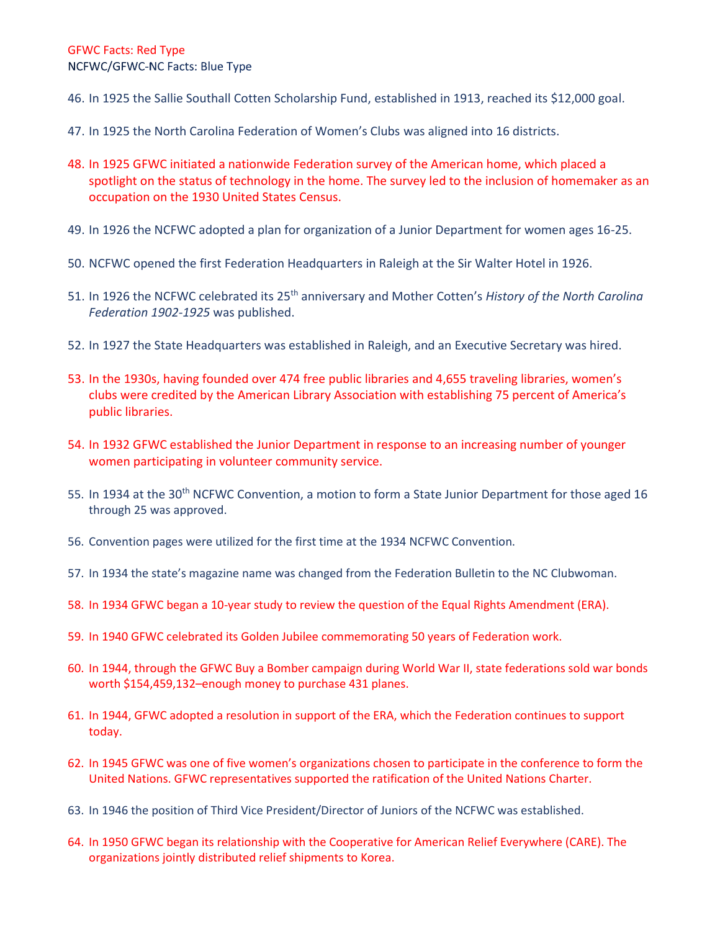- 46. In 1925 the Sallie Southall Cotten Scholarship Fund, established in 1913, reached its \$12,000 goal.
- 47. In 1925 the North Carolina Federation of Women's Clubs was aligned into 16 districts.
- 48. In 1925 GFWC initiated a nationwide Federation survey of the American home, which placed a spotlight on the status of technology in the home. The survey led to the inclusion of homemaker as an occupation on the 1930 United States Census.
- 49. In 1926 the NCFWC adopted a plan for organization of a Junior Department for women ages 16-25.
- 50. NCFWC opened the first Federation Headquarters in Raleigh at the Sir Walter Hotel in 1926.
- 51. In 1926 the NCFWC celebrated its 25th anniversary and Mother Cotten's *History of the North Carolina Federation 1902-1925* was published.
- 52. In 1927 the State Headquarters was established in Raleigh, and an Executive Secretary was hired.
- 53. In the 1930s, having founded over 474 free public libraries and 4,655 traveling libraries, women's clubs were credited by the American Library Association with establishing 75 percent of America's public libraries.
- 54. In 1932 GFWC established the Junior Department in response to an increasing number of younger women participating in volunteer community service.
- 55. In 1934 at the 30<sup>th</sup> NCFWC Convention, a motion to form a State Junior Department for those aged 16 through 25 was approved.
- 56. Convention pages were utilized for the first time at the 1934 NCFWC Convention.
- 57. In 1934 the state's magazine name was changed from the Federation Bulletin to the NC Clubwoman.
- 58. In 1934 GFWC began a 10-year study to review the question of the Equal Rights Amendment (ERA).
- 59. In 1940 GFWC celebrated its Golden Jubilee commemorating 50 years of Federation work.
- 60. In 1944, through the GFWC Buy a Bomber campaign during World War II, state federations sold war bonds worth \$154,459,132–enough money to purchase 431 planes.
- 61. In 1944, GFWC adopted a resolution in support of the ERA, which the Federation continues to support today.
- 62. In 1945 GFWC was one of five women's organizations chosen to participate in the conference to form the United Nations. GFWC representatives supported the ratification of the United Nations Charter.
- 63. In 1946 the position of Third Vice President/Director of Juniors of the NCFWC was established.
- 64. In 1950 GFWC began its relationship with the Cooperative for American Relief Everywhere (CARE). The organizations jointly distributed relief shipments to Korea.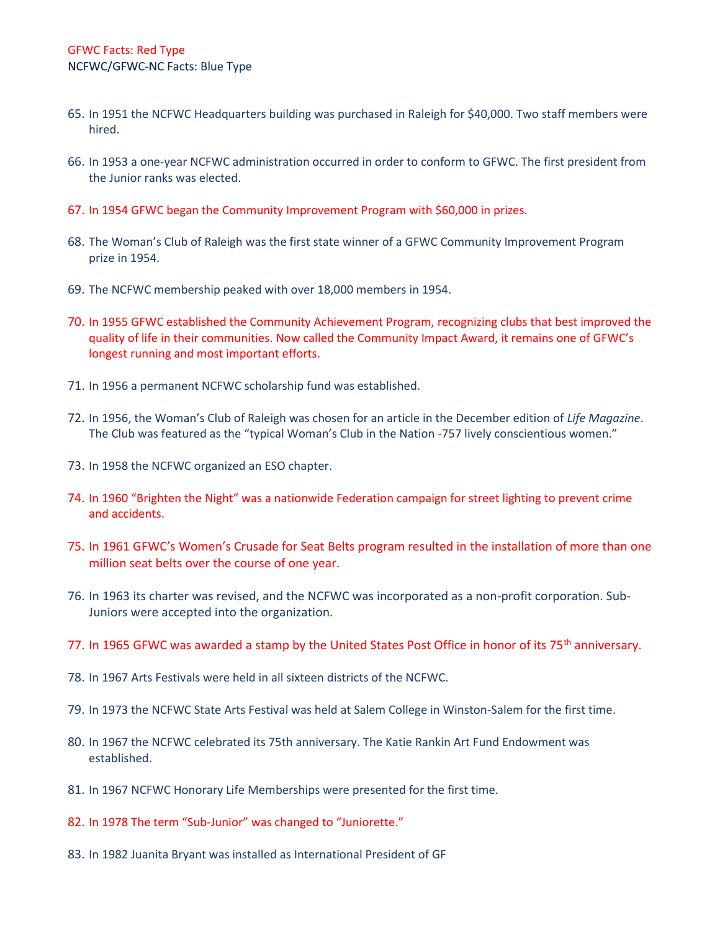- 65. In 1951 the NCFWC Headquarters building was purchased in Raleigh for \$40,000. Two staff members were hired.
- 66. In 1953 a one-year NCFWC administration occurred in order to conform to GFWC. The first president from the Junior ranks was elected.
- 67. In 1954 GFWC began the Community Improvement Program with \$60,000 in prizes.
- 68. The Woman's Club of Raleigh was the first state winner of a GFWC Community Improvement Program prize in 1954.
- 69. The NCFWC membership peaked with over 18,000 members in 1954.
- 70. In 1955 GFWC established the Community Achievement Program, recognizing clubs that best improved the quality of life in their communities. Now called the Community Impact Award, it remains one of GFWC's longest running and most important efforts.
- 71. In 1956 a permanent NCFWC scholarship fund was established.
- 72. In 1956, the Woman's Club of Raleigh was chosen for an article in the December edition of *Life Magazine*. The Club was featured as the "typical Woman's Club in the Nation -757 lively conscientious women."
- 73. In 1958 the NCFWC organized an ESO chapter.
- 74. In 1960 "Brighten the Night" was a nationwide Federation campaign for street lighting to prevent crime and accidents.
- 75. In 1961 GFWC's Women's Crusade for Seat Belts program resulted in the installation of more than one million seat belts over the course of one year.
- 76. In 1963 its charter was revised, and the NCFWC was incorporated as a non-profit corporation. Sub-Juniors were accepted into the organization.
- 77. In 1965 GFWC was awarded a stamp by the United States Post Office in honor of its 75<sup>th</sup> anniversary.
- 78. In 1967 Arts Festivals were held in all sixteen districts of the NCFWC.
- 79. In 1973 the NCFWC State Arts Festival was held at Salem College in Winston-Salem for the first time.
- 80. In 1967 the NCFWC celebrated its 75th anniversary. The Katie Rankin Art Fund Endowment was established.
- 81. In 1967 NCFWC Honorary Life Memberships were presented for the first time.
- 82. In 1978 The term "Sub-Junior" was changed to "Juniorette."
- 83. In 1982 Juanita Bryant was installed as International President of GF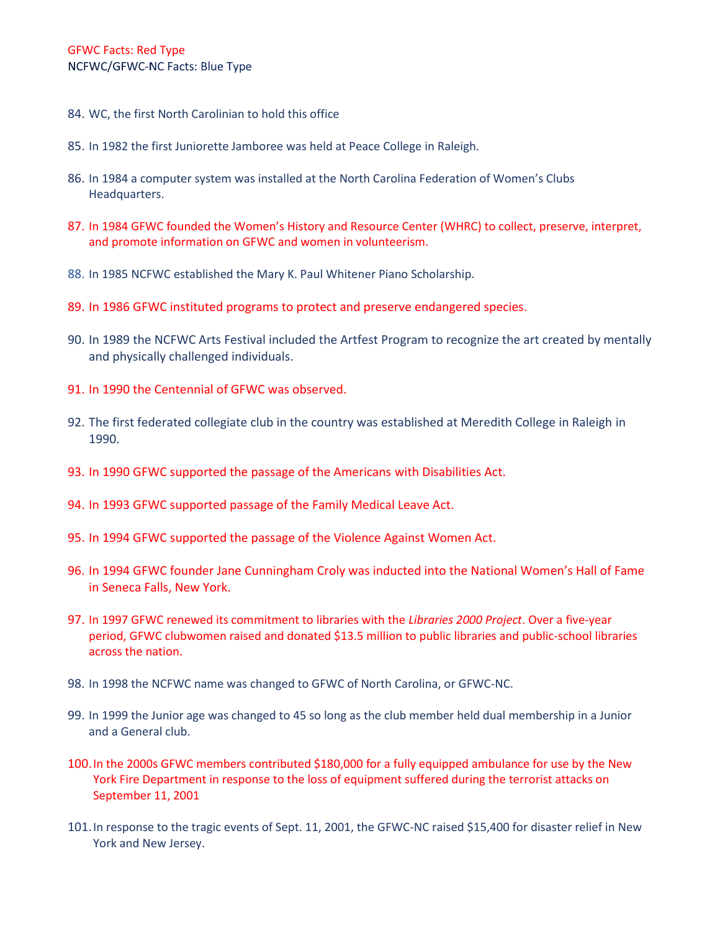- 84. WC, the first North Carolinian to hold this office
- 85. In 1982 the first Juniorette Jamboree was held at Peace College in Raleigh.
- 86. In 1984 a computer system was installed at the North Carolina Federation of Women's Clubs Headquarters.
- 87. In 1984 GFWC founded the Women's History and Resource Center (WHRC) to collect, preserve, interpret, and promote information on GFWC and women in volunteerism.
- 88. In 1985 NCFWC established the Mary K. Paul Whitener Piano Scholarship.
- 89. In 1986 GFWC instituted programs to protect and preserve endangered species.
- 90. In 1989 the NCFWC Arts Festival included the Artfest Program to recognize the art created by mentally and physically challenged individuals.
- 91. In 1990 the Centennial of GFWC was observed.
- 92. The first federated collegiate club in the country was established at Meredith College in Raleigh in 1990.
- 93. In 1990 GFWC supported the passage of the Americans with Disabilities Act.
- 94. In 1993 GFWC supported passage of the Family Medical Leave Act.
- 95. In 1994 GFWC supported the passage of the Violence Against Women Act.
- 96. In 1994 GFWC founder Jane Cunningham Croly was inducted into the National Women's Hall of Fame in Seneca Falls, New York.
- 97. In 1997 GFWC renewed its commitment to libraries with the *Libraries 2000 Project*. Over a five-year period, GFWC clubwomen raised and donated \$13.5 million to public libraries and public-school libraries across the nation.
- 98. In 1998 the NCFWC name was changed to GFWC of North Carolina, or GFWC-NC.
- 99. In 1999 the Junior age was changed to 45 so long as the club member held dual membership in a Junior and a General club.
- 100.In the 2000s GFWC members contributed \$180,000 for a fully equipped ambulance for use by the New York Fire Department in response to the loss of equipment suffered during the terrorist attacks on September 11, 2001
- 101.In response to the tragic events of Sept. 11, 2001, the GFWC-NC raised \$15,400 for disaster relief in New York and New Jersey.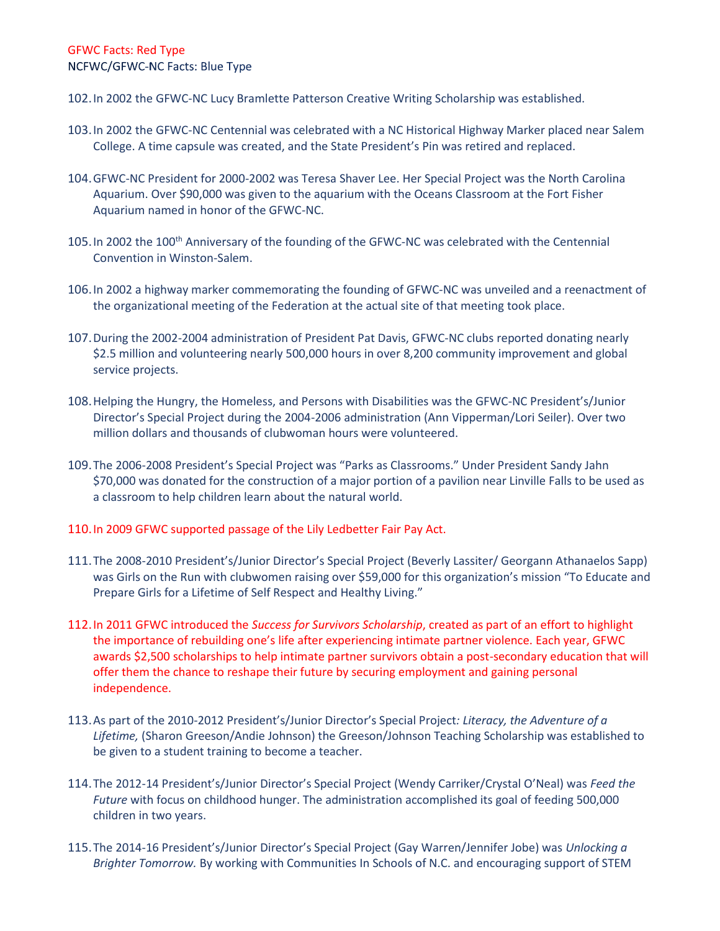102.In 2002 the GFWC-NC Lucy Bramlette Patterson Creative Writing Scholarship was established.

- 103.In 2002 the GFWC-NC Centennial was celebrated with a NC Historical Highway Marker placed near Salem College. A time capsule was created, and the State President's Pin was retired and replaced.
- 104.GFWC-NC President for 2000-2002 was Teresa Shaver Lee. Her Special Project was the North Carolina Aquarium. Over \$90,000 was given to the aquarium with the Oceans Classroom at the Fort Fisher Aquarium named in honor of the GFWC-NC.
- 105. In 2002 the 100<sup>th</sup> Anniversary of the founding of the GFWC-NC was celebrated with the Centennial Convention in Winston-Salem.
- 106.In 2002 a highway marker commemorating the founding of GFWC-NC was unveiled and a reenactment of the organizational meeting of the Federation at the actual site of that meeting took place.
- 107.During the 2002-2004 administration of President Pat Davis, GFWC-NC clubs reported donating nearly \$2.5 million and volunteering nearly 500,000 hours in over 8,200 community improvement and global service projects.
- 108.Helping the Hungry, the Homeless, and Persons with Disabilities was the GFWC-NC President's/Junior Director's Special Project during the 2004-2006 administration (Ann Vipperman/Lori Seiler). Over two million dollars and thousands of clubwoman hours were volunteered.
- 109.The 2006-2008 President's Special Project was "Parks as Classrooms." Under President Sandy Jahn \$70,000 was donated for the construction of a major portion of a pavilion near Linville Falls to be used as a classroom to help children learn about the natural world.

## 110.In 2009 GFWC supported passage of the Lily Ledbetter Fair Pay Act.

- 111.The 2008-2010 President's/Junior Director's Special Project (Beverly Lassiter/ Georgann Athanaelos Sapp) was Girls on the Run with clubwomen raising over \$59,000 for this organization's mission "To Educate and Prepare Girls for a Lifetime of Self Respect and Healthy Living."
- 112.In 2011 GFWC introduced the *Success for Survivors Scholarship*, created as part of an effort to highlight the importance of rebuilding one's life after experiencing intimate partner violence. Each year, GFWC awards \$2,500 scholarships to help intimate partner survivors obtain a post-secondary education that will offer them the chance to reshape their future by securing employment and gaining personal independence.
- 113.As part of the 2010-2012 President's/Junior Director's Special Project*: Literacy, the Adventure of a Lifetime,* (Sharon Greeson/Andie Johnson) the Greeson/Johnson Teaching Scholarship was established to be given to a student training to become a teacher.
- 114.The 2012-14 President's/Junior Director's Special Project (Wendy Carriker/Crystal O'Neal) was *Feed the Future* with focus on childhood hunger. The administration accomplished its goal of feeding 500,000 children in two years.
- 115.The 2014-16 President's/Junior Director's Special Project (Gay Warren/Jennifer Jobe) was *Unlocking a Brighter Tomorrow.* By working with Communities In Schools of N.C. and encouraging support of STEM